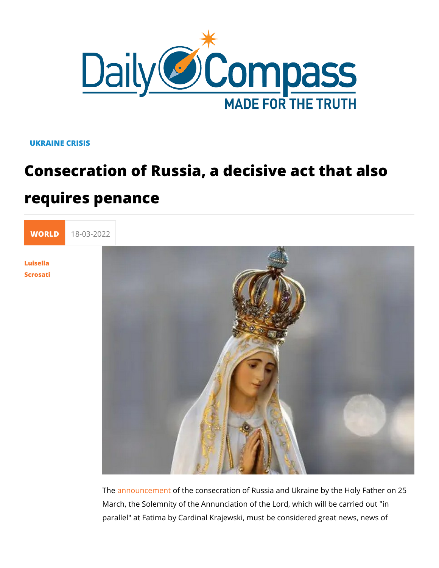## UKRAINE CRISIS

## Consecration of Russia, a decisive act requires penance



[Scros](/en/luisella-scrosati)ati

The announce meththe consecration of Russia and Ukraine by the March, the Solemnity of the Annunciation of the Lord, which w parallel" at Fatima by Cardinal Krajewski, must be considered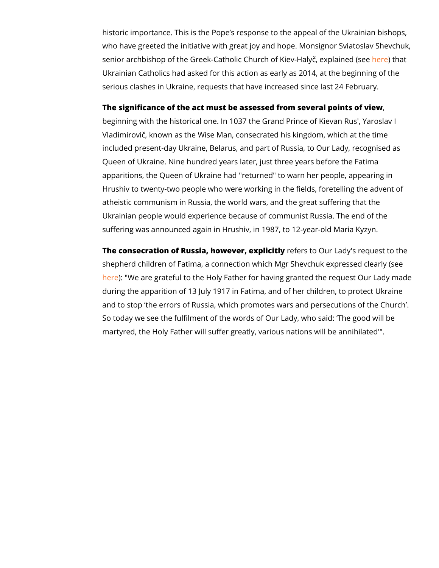historic importance. This is the Pope s response to the appeal who have greeted the initiative with great joy and hope. Monsi senior archbishop of the Greek-Catholic Church of he reevt Haaly, Ukrainian Catholics had asked for this action as early as 2014 serious clashes in Ukraine, requests that have increased since

The significance of the act must be assessed from several poi beginning with the historical one. In 1037 the Grand Prince of Vladimirovi, known as the Wise Man, consecrated his kingdom included present-day Ukraine, Belarus, and part of Russia, to Queen of Ukraine. Nine hundred years later, just three years b apparitions, the Queen of Ukraine had "returned" to warn her p Hrushiv to twenty-two people who were working in the fields, f atheistic communism in Russia, the world wars, and the great Ukrainian people would experience because of communist Russ suffering was announced again in Hrushiv, in 1987, to 12-year

The consecration of Russia, howeveerf, ees pulcic Ouly Lady's request shepherd children of Fatima, a connection which Mgr Shevchuk [her](https://ewtn.co.uk/article-we-are-grateful-ukrainian-catholic-leader-welcomes-consecration-to-marys-immaculate-heart/)e: "We are grateful to the Holy Father for having granted the during the apparition of 13 July 1917 in Fatima, and of her chi and to stop the errors of Russia, which promotes wars and pe So today we see the fulfilment of the words of Our Lady, who s martyred, the Holy Father will suffer greatly, various nations w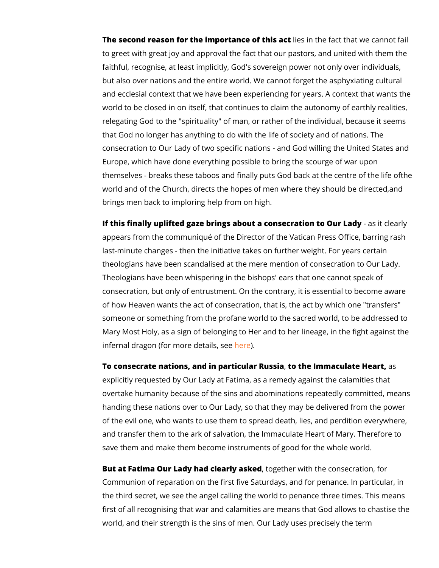The second reason for the importancies of inthinsteratiation that we can to greet with great joy and approval the fact that our pastors, faithful, recognise, at least implicitly, God's sovereign power but also over nations and the entire world. We cannot forget the and ecclesial context that we have been experiencing for year. world to be closed in on itself, that continues to claim the aut relegating God to the "spirituality" of man, or rather of the ind that God no longer has anything to do with the life of society consecration to Our Lady of two specific nations - and God wil Europe, which have done everything possible to bring the scou themselves - breaks these taboos and finally puts God baek at world and of the Church, directs the hopes of men whened they brings men back to imploring help from on high.

If this finally uplifted gaze brings about a consecrassion cloe  $\alpha$  uy appears from the communiqué of the Director of the Vatican Pr last-minute changes - then the initiative takes on further weig theologians have been scandalised at the mere mention of con Theologians have been whispering in the bishops' ears that on consecration, but only of entrustment. On the contrary, it is est of how Heaven wants the act of consecration, that is, the act I someone or something from the profane world to the sacred wo Mary Most Holy, as a sign of belonging to Her and to her linea infernal dragon (for moreheletails, see

To consecrate nations, and in particulate Rrus maintale beart, explicitly requested by Our Lady at Fatima, as a remedy again overtake humanity because of the sins and abominations repea handing these nations over to Our Lady, so that they may be d of the evil one, who wants to use them to spread death, lies, and and transfer them to the ark of salvation, the Immaculate Hear save them and make them become instruments of good for the

But at Fatima Our Lady had cleator by the solith the consecration, Communion of reparation on the first five Saturdays, and for p the third secret, we see the angel calling the world to penance first of all recognising that war and calamities are means that world, and their strength is the sins of men. Our Lady uses pre